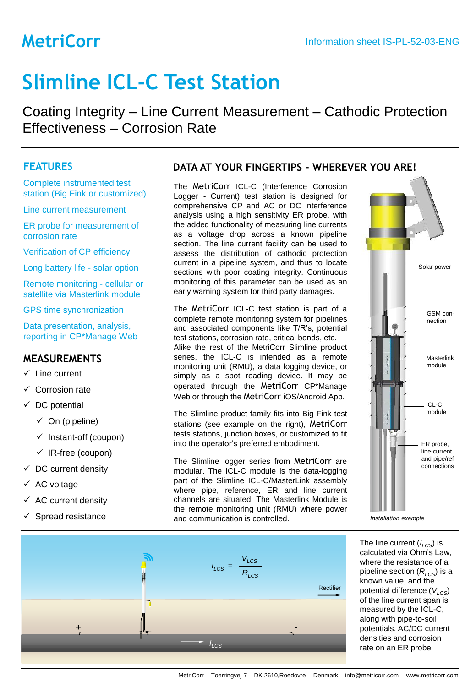## **MetriCorr**

# **Slimline ICL-C Test Station**

Coating Integrity – Line Current Measurement – Cathodic Protection Effectiveness – Corrosion Rate

### **FEATURES**

Complete instrumented test station (Big Fink or customized)

Line current measurement

ER probe for measurement of corrosion rate

Verification of CP efficiency

Long battery life - solar option

Remote monitoring - cellular or satellite via Masterlink module

GPS time synchronization

Data presentation, analysis, reporting in CP\*Manage Web

#### **MEASUREMENTS**

- ✓ Line current
- ✓ Corrosion rate
- $\checkmark$  DC potential
	- $\checkmark$  On (pipeline)
	- ✓ Instant-off (coupon)
	- ✓ IR-free (coupon)
- $\checkmark$  DC current density
- ✓ AC voltage
- ✓ AC current density
- ✓ Spread resistance

#### **DATA AT YOUR FINGERTIPS – WHEREVER YOU ARE!**

The MetriCorr ICL-C (Interference Corrosion Logger - Current) test station is designed for comprehensive CP and AC or DC interference analysis using a high sensitivity ER probe, with the added functionality of measuring line currents as a voltage drop across a known pipeline section. The line current facility can be used to assess the distribution of cathodic protection current in a pipeline system, and thus to locate sections with poor coating integrity. Continuous monitoring of this parameter can be used as an early warning system for third party damages.

The MetriCorr ICL-C test station is part of a complete remote monitoring system for pipelines and associated components like T/R's, potential test stations, corrosion rate, critical bonds, etc. Alike the rest of the MetriCorr Slimline product series, the ICL-C is intended as a remote monitoring unit (RMU), a data logging device, or simply as a spot reading device. It may be operated through the MetriCorr CP\*Manage Web or through the MetriCorr iOS/Android App.

The Slimline product family fits into Big Fink test stations (see example on the right), MetriCorr tests stations, junction boxes, or customized to fit into the operator's preferred embodiment.

The Slimline logger series from MetriCorr are modular. The ICL-C module is the data-logging part of the Slimline ICL-C/MasterLink assembly where pipe, reference, ER and line current channels are situated. The Masterlink Module is the remote monitoring unit (RMU) where power and communication is controlled.



*Installation example*



The line current (*ILCS*) is calculated via Ohm's Law, where the resistance of a pipeline section  $(R_{LCS})$  is a known value, and the potential difference ( $V_{LCS}$ ) of the line current span is measured by the ICL-C, along with pipe-to-soil potentials, AC/DC current densities and corrosion rate on an ER probe